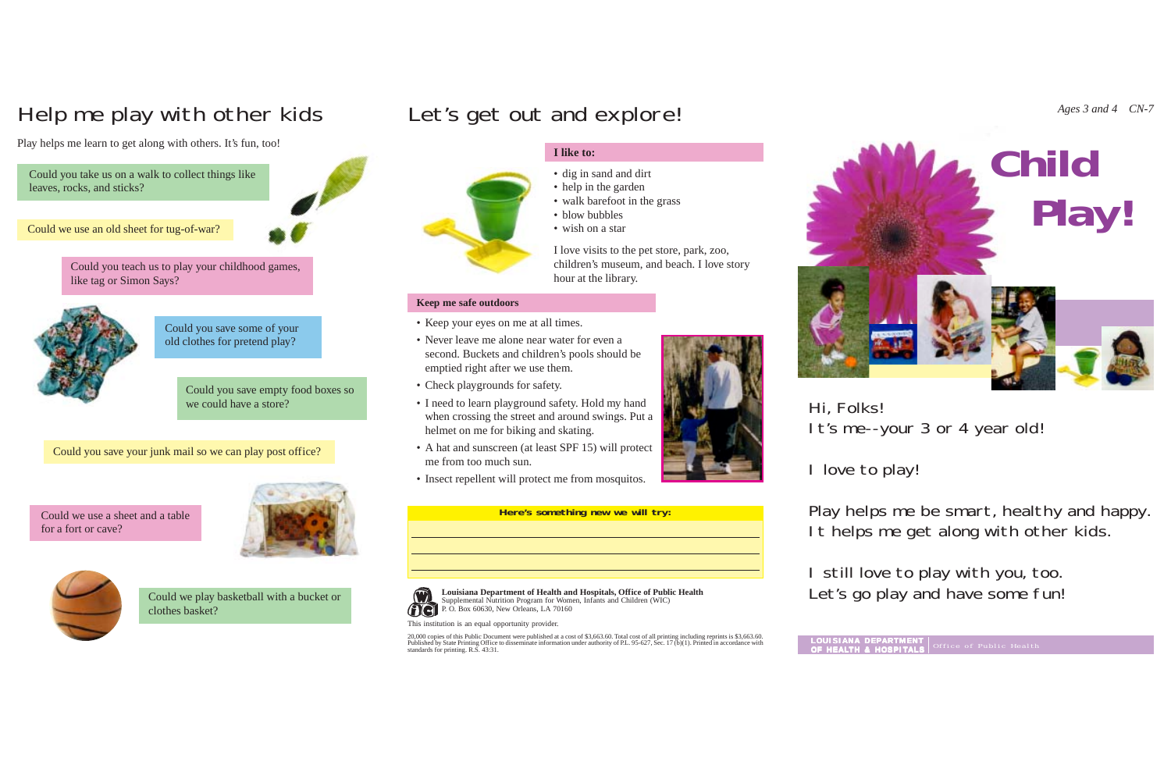## **I like to:**

- dig in sand and dirt
- help in the garden
- walk barefoot in the grass
- blow bubbles
- wish on a star

- Keep your eyes on me at all times.
- Never leave me alone near water for even a second. Buckets and children's pools should be emptied right after we use them.
- Check playgrounds for safety.
- I need to learn playground safety. Hold my hand when crossing the street and around swings. Put a helmet on me for biking and skating.
- A hat and sunscreen (at least SPF 15) will protect me from too much sun.
- Insect repellent will protect me from mosquitos.

I love visits to the pet store, park, zoo, children's museum, and beach. I love story hour at the library.

#### **Here's something new we will try:**



## **Keep me safe outdoors**

Hi, Folks!

I love to play!

Play helps me be smart, healthy and happy. It helps me get along with other kids.

I still love to play with you, too. Let's go play and have some fun!



It's me--your 3 or 4 year old!

Could we use a sheet and a table for a fort or cave?





Could you take us on a walk to collect things like leaves, rocks, and sticks?



Could you save some of your old clothes for pretend play?

This institution is an equal opportunity provider.

20,000 copies of this Public Document were published at a cost of \$3,663.60. Total cost of all printing including reprints is \$3,663.60. Published by State Printing Office to disseminate information under authority of P.L. 95-627, Sec. 17 (b)(1). Printed in accordance with standards for printing. R.S. 43:31.



# Help me play with other kids Let's get out and explore! *Ages 3 and 4 CN-7*

Play helps me learn to get along with others. It's fun, too!

Could we play basketball with a bucket or clothes basket?

Could you teach us to play your childhood games, like tag or Simon Says?



Could you save your junk mail so we can play post office?

Could you save empty food boxes so we could have a store?

> **Louisiana Department of Health and Hospitals, Office of Public Health** Supplemental Nutrition Program for Women, Infants and Children (WIC) P. O. Box 60630, New Orleans, LA 70160